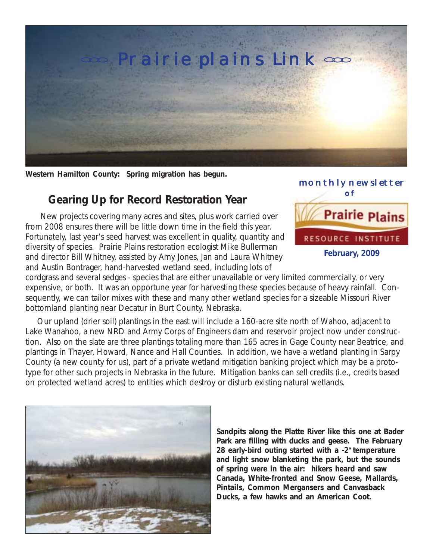

**Western Hamilton County: Spring migration has begun.**

## **Gearing Up for Record Restoration Year**

New projects covering many acres and sites, plus work carried over from 2008 ensures there will be little down time in the field this year. Fortunately, last year's seed harvest was excellent in quality, quantity and diversity of species. Prairie Plains restoration ecologist Mike Bullerman and director Bill Whitney, assisted by Amy Jones, Jan and Laura Whitney and Austin Bontrager, hand-harvested wetland seed, including lots of



cordgrass and several sedges - species that are either unavailable or very limited commercially, or very expensive, or both. It was an opportune year for harvesting these species because of heavy rainfall. Consequently, we can tailor mixes with these and many other wetland species for a sizeable Missouri River bottomland planting near Decatur in Burt County, Nebraska.

 Our upland (drier soil) plantings in the east will include a 160-acre site north of Wahoo, adjacent to Lake Wanahoo, a new NRD and Army Corps of Engineers dam and reservoir project now under construction. Also on the slate are three plantings totaling more than 165 acres in Gage County near Beatrice, and plantings in Thayer, Howard, Nance and Hall Counties. In addition, we have a wetland planting in Sarpy County (a new county for us), part of a private wetland mitigation banking project which may be a prototype for other such projects in Nebraska in the future. Mitigation banks can sell credits (i.e., credits based on protected wetland acres) to entities which destroy or disturb existing natural wetlands.



**Sandpits along the Platte River like this one at Bader Park are filling with ducks and geese. The February** 28 early-bird outing started with a -2° temperature **and light snow blanketing the park, but the sounds of spring were in the air: hikers heard and saw Canada, White-fronted and Snow Geese, Mallards, Pintails, Common Mergansers and Canvasback Ducks, a few hawks and an American Coot.**